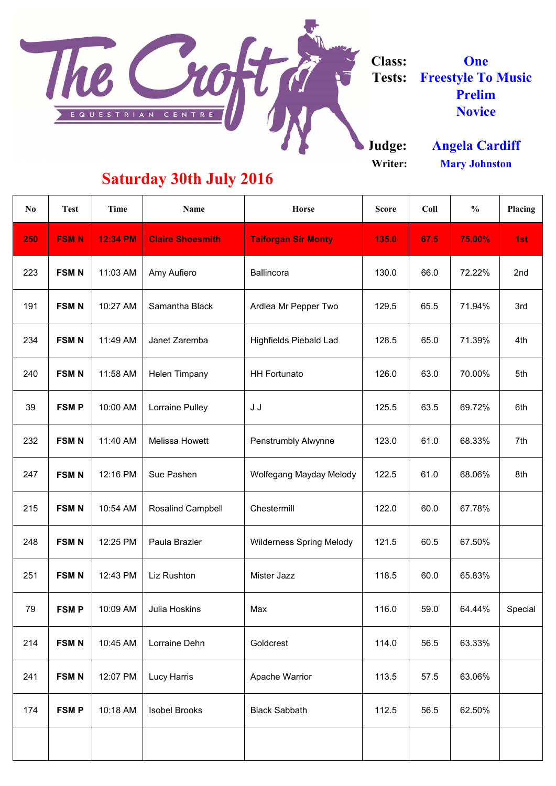**Judge: Writer:**

| $\bf{N}$ | <b>Test</b> | <b>Time</b>     | <b>Name</b>              | <b>Horse</b>                    | <b>Score</b> | Coll | $\frac{0}{0}$ | Placing |
|----------|-------------|-----------------|--------------------------|---------------------------------|--------------|------|---------------|---------|
| 250      | <b>FSMN</b> | <b>12:34 PM</b> | <b>Claire Shoesmith</b>  | <b>Taiforgan Sir Monty</b>      | 135.0        | 67.5 | <b>75.00%</b> | 1st     |
| 223      | <b>FSMN</b> | 11:03 AM        | Amy Aufiero              | <b>Ballincora</b>               | 130.0        | 66.0 | 72.22%        | 2nd     |
| 191      | <b>FSMN</b> | 10:27 AM        | Samantha Black           | Ardlea Mr Pepper Two            | 129.5        | 65.5 | 71.94%        | 3rd     |
| 234      | <b>FSMN</b> | 11:49 AM        | Janet Zaremba            | <b>Highfields Piebald Lad</b>   | 128.5        | 65.0 | 71.39%        | 4th     |
| 240      | <b>FSMN</b> | 11:58 AM        | <b>Helen Timpany</b>     | <b>HH Fortunato</b>             | 126.0        | 63.0 | 70.00%        | 5th     |
| 39       | <b>FSMP</b> | 10:00 AM        | Lorraine Pulley          | J J                             | 125.5        | 63.5 | 69.72%        | 6th     |
| 232      | <b>FSMN</b> | 11:40 AM        | <b>Melissa Howett</b>    | <b>Penstrumbly Alwynne</b>      | 123.0        | 61.0 | 68.33%        | 7th     |
| 247      | <b>FSMN</b> | 12:16 PM        | Sue Pashen               | <b>Wolfegang Mayday Melody</b>  | 122.5        | 61.0 | 68.06%        | 8th     |
| 215      | <b>FSMN</b> | 10:54 AM        | <b>Rosalind Campbell</b> | Chestermill                     | 122.0        | 60.0 | 67.78%        |         |
| 248      | <b>FSMN</b> | 12:25 PM        | Paula Brazier            | <b>Wilderness Spring Melody</b> | 121.5        | 60.5 | 67.50%        |         |
| 251      | <b>FSMN</b> | 12:43 PM        | Liz Rushton              | Mister Jazz                     | 118.5        | 60.0 | 65.83%        |         |



**Class: Tests: Freestyle To Music Prelim Novice One**

| 79  | <b>FSMP</b> | 10:09 AM | Julia Hoskins        | Max                   | 116.0 | 59.0 | 64.44% | Special |
|-----|-------------|----------|----------------------|-----------------------|-------|------|--------|---------|
| 214 | <b>FSMN</b> | 10:45 AM | Lorraine Dehn        | Goldcrest             | 114.0 | 56.5 | 63.33% |         |
| 241 | <b>FSMN</b> | 12:07 PM | <b>Lucy Harris</b>   | <b>Apache Warrior</b> | 113.5 | 57.5 | 63.06% |         |
| 174 | <b>FSMP</b> | 10:18 AM | <b>Isobel Brooks</b> | <b>Black Sabbath</b>  | 112.5 | 56.5 | 62.50% |         |
|     |             |          |                      |                       |       |      |        |         |

## **Saturday 30th July 2016**

**Mary Johnston Angela Cardiff**